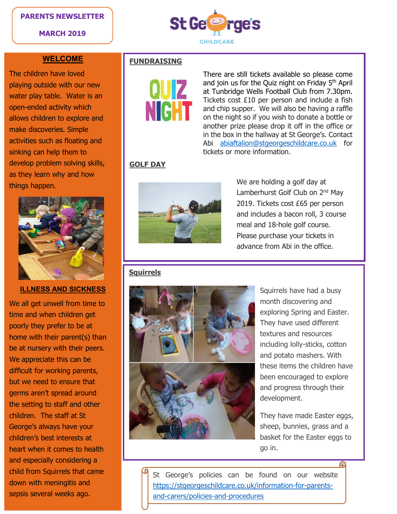### **PARENTS NEWSLETTER**

**MARCH 2019**



### **WELCOME**

The children have loved playing outside with our new water play table. Water is an open-ended activity which allows children to explore and make discoveries. Simple activities such as floating and sinking can help them to develop problem solving skills, as they learn why and how things happen.



## **ILLNESS AND SICKNESS**

We all get unwell from time to time and when children get poorly they prefer to be at home with their parent(s) than be at nursery with their peers. We appreciate this can be difficult for working parents, but we need to ensure that germs aren't spread around the setting to staff and other children. The staff at St George's always have your children's best interests at heart when it comes to health and especially considering a child from Squirrels that came down with meningitis and sepsis several weeks ago.

# **FUNDRAISING**



There are still tickets available so please come and join us for the Quiz night on Friday 5<sup>th</sup> April at Tunbridge Wells Football Club from 7.30pm. Tickets cost £10 per person and include a fish and chip supper. We will also be having a raffle on the night so if you wish to donate a bottle or another prize please drop it off in the office or in the box in the hallway at St George's. Contact Abi [abiaftalion@stgeorgeschildcare.co.uk](mailto:abiaftalion@stgeorgeschildcare.co.uk) for tickets or more information.

# **GOLF DAY**



We are holding a golf day at Lamberhurst Golf Club on 2<sup>nd</sup> May 2019. Tickets cost £65 per person and includes a bacon roll, 3 course meal and 18-hole golf course. Please purchase your tickets in advance from Abi in the office.

## **Squirrels**



Squirrels have had a busy month discovering and exploring Spring and Easter. They have used different textures and resources including lolly-sticks, cotton and potato mashers. With these items the children have been encouraged to explore and progress through their development.

They have made Easter eggs, sheep, bunnies, grass and a basket for the Easter eggs to go in.

St George's policies can be found on our website [https://stgeorgeschildcare.co.uk/information-for-parents](https://stgeorgeschildcare.co.uk/information-for-parents-and-carers/policies-and-procedures)[and-carers/policies-and-procedures](https://stgeorgeschildcare.co.uk/information-for-parents-and-carers/policies-and-procedures)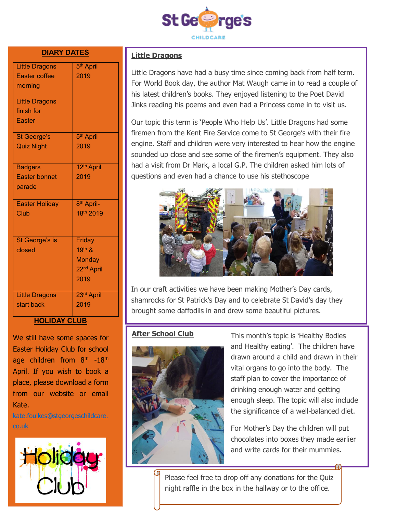

### **DIARY DATES**

| <b>Little Dragons</b> | 5 <sup>th</sup> April  |
|-----------------------|------------------------|
| <b>Easter coffee</b>  | 2019                   |
| morning               |                        |
|                       |                        |
| <b>Little Dragons</b> |                        |
| finish for            |                        |
| Easter                |                        |
| <b>St George's</b>    | 5 <sup>th</sup> April  |
| <b>Quiz Night</b>     | 2019                   |
|                       |                        |
| <b>Badgers</b>        | 12 <sup>th</sup> April |
| <b>Easter bonnet</b>  | 2019                   |
| parade                |                        |
|                       |                        |
| <b>Easter Holiday</b> | 8 <sup>th</sup> April- |
| Club                  | 18th 2019              |
|                       |                        |
|                       |                        |
| St George's is        | Friday                 |
| closed                | 19th &                 |
|                       | <b>Monday</b>          |
|                       | 22 <sup>nd</sup> April |
|                       | 2019                   |
|                       |                        |
| <b>Little Dragons</b> | 23rd April             |
| start back            | 2019                   |
|                       |                        |

### **HOLIDAY CLUB**

We still have some spaces for Easter Holiday Club for school age children from  $8<sup>th</sup> -18<sup>th</sup>$ April. If you wish to book a place, please download a form from our website or email Kate.

[kate.foulkes@stgeorgeschildcare.](mailto:kate.foulkes@stgeorgeschildcare.co.uk) [co.uk](mailto:kate.foulkes@stgeorgeschildcare.co.uk)



### **Little Dragons**

Little Dragons have had a busy time since coming back from half term. For World Book day, the author Mat Waugh came in to read a couple of his latest children's books. They enjoyed listening to the Poet David Jinks reading his poems and even had a Princess come in to visit us.

Our topic this term is 'People Who Help Us'. Little Dragons had some firemen from the Kent Fire Service come to St George's with their fire engine. Staff and children were very interested to hear how the engine sounded up close and see some of the firemen's equipment. They also had a visit from Dr Mark, a local G.P. The children asked him lots of questions and even had a chance to use his stethoscope



In our craft activities we have been making Mother's Day cards, shamrocks for St Patrick's Day and to celebrate St David's day they brought some daffodils in and drew some beautiful pictures.

### **After School Club**



This month's topic is 'Healthy Bodies and Healthy eating'. The children have drawn around a child and drawn in their vital organs to go into the body. The staff plan to cover the importance of drinking enough water and getting enough sleep. The topic will also include the significance of a well-balanced diet.

For Mother's Day the children will put chocolates into boxes they made earlier and write cards for their mummies.

Please feel free to drop off any donations for the Quiz night raffle in the box in the hallway or to the office.